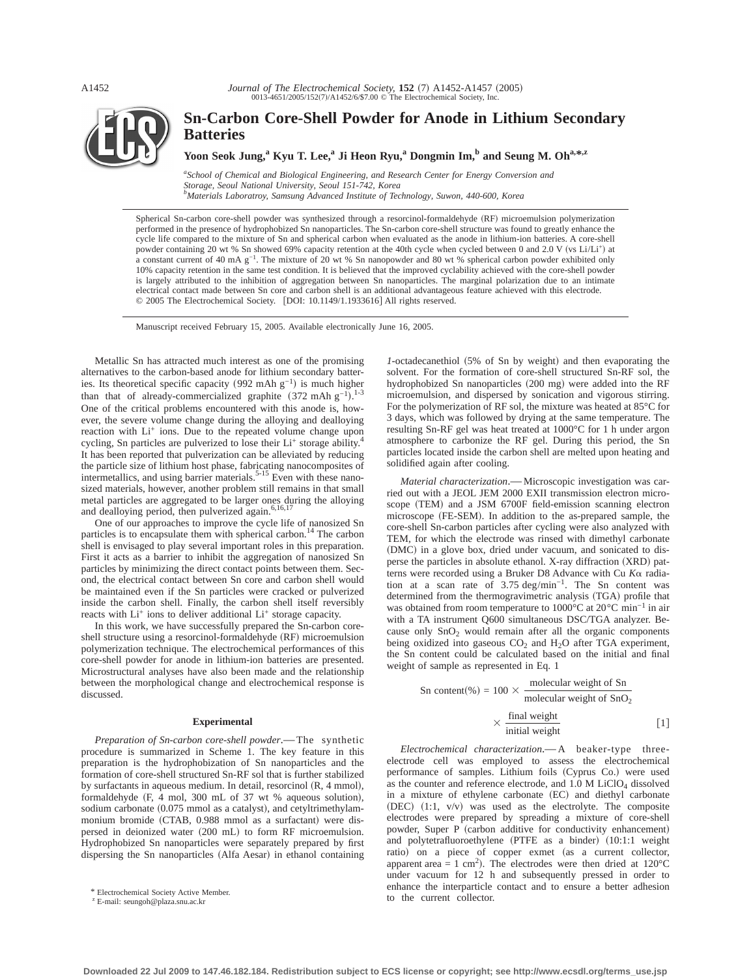

# **Sn-Carbon Core-Shell Powder for Anode in Lithium Secondary Batteries**

Yoon Seok Jung,<sup>a</sup> Kyu T. Lee,<sup>a</sup> Ji Heon Ryu,<sup>a</sup> Dongmin Im,<sup>b</sup> and Seung M. Oh<sup>a,\*,z</sup>

*a School of Chemical and Biological Engineering, and Research Center for Energy Conversion and Storage, Seoul National University, Seoul 151-742, Korea b Materials Laboratroy, Samsung Advanced Institute of Technology, Suwon, 440-600, Korea*

Spherical Sn-carbon core-shell powder was synthesized through a resorcinol-formaldehyde (RF) microemulsion polymerization performed in the presence of hydrophobized Sn nanoparticles. The Sn-carbon core-shell structure was found to greatly enhance the cycle life compared to the mixture of Sn and spherical carbon when evaluated as the anode in lithium-ion batteries. A core-shell powder containing 20 wt % Sn showed 69% capacity retention at the 40th cycle when cycled between 0 and 2.0 V (vs Li/Li+) at a constant current of 40 mA g−1. The mixture of 20 wt % Sn nanopowder and 80 wt % spherical carbon powder exhibited only 10% capacity retention in the same test condition. It is believed that the improved cyclability achieved with the core-shell powder is largely attributed to the inhibition of aggregation between Sn nanoparticles. The marginal polarization due to an intimate electrical contact made between Sn core and carbon shell is an additional advantageous feature achieved with this electrode. © 2005 The Electrochemical Society. [DOI: 10.1149/1.1933616] All rights reserved.

Manuscript received February 15, 2005. Available electronically June 16, 2005.

Metallic Sn has attracted much interest as one of the promising alternatives to the carbon-based anode for lithium secondary batteries. Its theoretical specific capacity (992 mAh  $g^{-1}$ ) is much higher than that of already-commercialized graphite  $(372 \text{ mA} \text{h} \text{ g}^{-1})$ .<sup>1-3</sup> One of the critical problems encountered with this anode is, however, the severe volume change during the alloying and dealloying reaction with Li<sup>+</sup> ions. Due to the repeated volume change upon cycling, Sn particles are pulverized to lose their  $Li^+$  storage ability.<sup>4</sup> It has been reported that pulverization can be alleviated by reducing the particle size of lithium host phase, fabricating nanocomposites of intermetallics, and using barrier materials.<sup>5-15</sup> Even with these nanosized materials, however, another problem still remains in that small metal particles are aggregated to be larger ones during the alloying and dealloying period, then pulverized again.<sup>6,16,17</sup>

One of our approaches to improve the cycle life of nanosized Sn particles is to encapsulate them with spherical carbon.<sup>14</sup> The carbon shell is envisaged to play several important roles in this preparation. First it acts as a barrier to inhibit the aggregation of nanosized Sn particles by minimizing the direct contact points between them. Second, the electrical contact between Sn core and carbon shell would be maintained even if the Sn particles were cracked or pulverized inside the carbon shell. Finally, the carbon shell itself reversibly reacts with  $Li^+$  ions to deliver additional  $Li^+$  storage capacity.

In this work, we have successfully prepared the Sn-carbon coreshell structure using a resorcinol-formaldehyde (RF) microemulsion polymerization technique. The electrochemical performances of this core-shell powder for anode in lithium-ion batteries are presented. Microstructural analyses have also been made and the relationship between the morphological change and electrochemical response is discussed.

## **Experimental**

*Preparation of Sn-carbon core-shell powder*.—The synthetic procedure is summarized in Scheme 1. The key feature in this preparation is the hydrophobization of Sn nanoparticles and the formation of core-shell structured Sn-RF sol that is further stabilized by surfactants in aqueous medium. In detail, resorcinol  $(R, 4 \text{ mmol})$ , formaldehyde  $(F, 4 \text{ mol}, 300 \text{ mL of } 37 \text{ wt } \%$  aqueous solution), sodium carbonate  $(0.075 \text{ mmol}$  as a catalyst), and cetyltrimethylammonium bromide (CTAB, 0.988 mmol as a surfactant) were dispersed in deionized water (200 mL) to form RF microemulsion. Hydrophobized Sn nanoparticles were separately prepared by first dispersing the Sn nanoparticles (Alfa Aesar) in ethanol containing

*1*-octadecanethiol (5% of Sn by weight) and then evaporating the solvent. For the formation of core-shell structured Sn-RF sol, the hydrophobized Sn nanoparticles (200 mg) were added into the RF microemulsion, and dispersed by sonication and vigorous stirring. For the polymerization of RF sol, the mixture was heated at 85°C for 3 days, which was followed by drying at the same temperature. The resulting Sn-RF gel was heat treated at 1000°C for 1 h under argon atmosphere to carbonize the RF gel. During this period, the Sn particles located inside the carbon shell are melted upon heating and solidified again after cooling.

*Material characterization*.—Microscopic investigation was carried out with a JEOL JEM 2000 EXII transmission electron microscope (TEM) and a JSM 6700F field-emission scanning electron microscope (FE-SEM). In addition to the as-prepared sample, the core-shell Sn-carbon particles after cycling were also analyzed with TEM, for which the electrode was rinsed with dimethyl carbonate (DMC) in a glove box, dried under vacuum, and sonicated to disperse the particles in absolute ethanol. X-ray diffraction (XRD) patterns were recorded using a Bruker D8 Advance with Cu *K*a radiation at a scan rate of 3.75 deg/min−1. The Sn content was determined from the thermogravimetric analysis (TGA) profile that was obtained from room temperature to 1000°C at 20°C min−1 in air with a TA instrument Q600 simultaneous DSC/TGA analyzer. Because only  $SnO<sub>2</sub>$  would remain after all the organic components being oxidized into gaseous  $CO<sub>2</sub>$  and  $H<sub>2</sub>O$  after TGA experiment, the Sn content could be calculated based on the initial and final weight of sample as represented in Eq. 1

$$
Sn content(\%) = 100 \times \frac{\text{molecular weight of Sn}}{\text{molecular weight of SnO}_2}
$$

$$
\times \frac{\text{final weight}}{\text{initial weight}} \tag{1}
$$

*Electrochemical characterization*.—A beaker-type threeelectrode cell was employed to assess the electrochemical performance of samples. Lithium foils (Cyprus Co.) were used as the counter and reference electrode, and  $1.0$  M LiClO<sub>4</sub> dissolved in a mixture of ethylene carbonate  $(EC)$  and diethyl carbonate  $(DEC)$   $(1:1, v/v)$  was used as the electrolyte. The composite electrodes were prepared by spreading a mixture of core-shell powder, Super P (carbon additive for conductivity enhancement) and polytetrafluoroethylene  $(PTFE$  as a binder)  $(10:1:1$  weight ratio) on a piece of copper exmet (as a current collector, apparent area = 1 cm<sup>2</sup>). The electrodes were then dried at  $120^{\circ}$ C under vacuum for 12 h and subsequently pressed in order to enhance the interparticle contact and to ensure a better adhesion \* Electrochemical Society Active Member.<br>
<sup>z</sup> Electrochemical Society Active Member.<br>
to the current collector.

<sup>z</sup> E-mail: seungoh@plaza.snu.ac.kr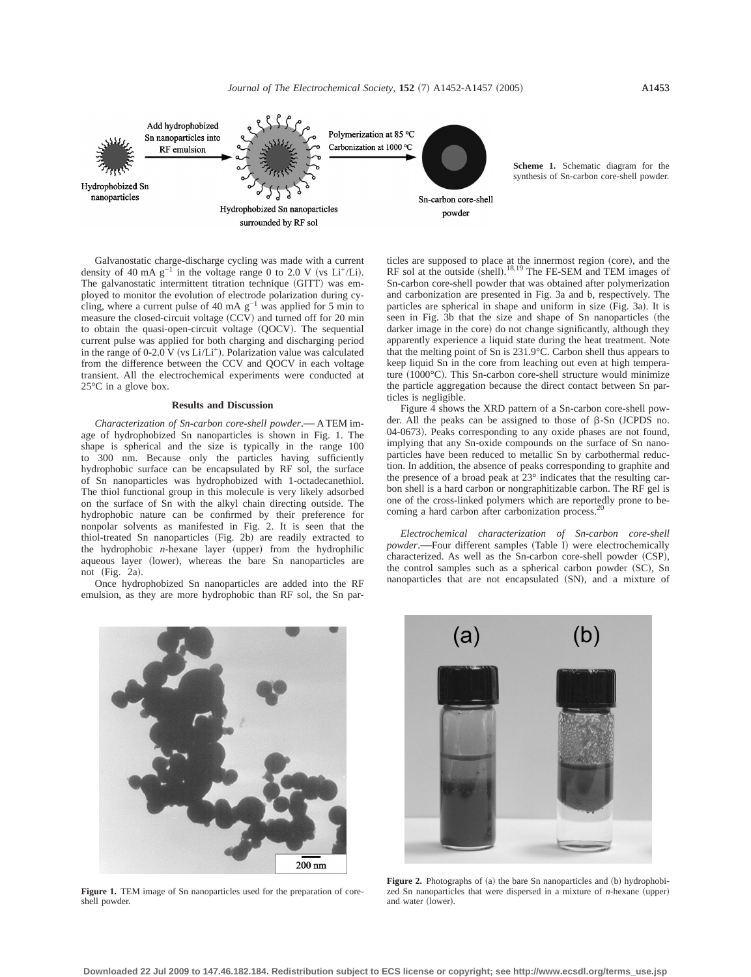

Galvanostatic charge-discharge cycling was made with a current density of 40 mA  $g^{-1}$  in the voltage range 0 to 2.0 V (vs Li<sup>+</sup>/Li). The galvanostatic intermittent titration technique (GITT) was employed to monitor the evolution of electrode polarization during cycling, where a current pulse of 40 mA g−1 was applied for 5 min to measure the closed-circuit voltage (CCV) and turned off for 20 min to obtain the quasi-open-circuit voltage (QOCV). The sequential current pulse was applied for both charging and discharging period in the range of 0-2.0 V (vs Li/Li<sup>+</sup>). Polarization value was calculated from the difference between the CCV and QOCV in each voltage transient. All the electrochemical experiments were conducted at 25°C in a glove box.

### **Results and Discussion**

*Characterization of Sn-carbon core-shell powder*.—A TEM image of hydrophobized Sn nanoparticles is shown in Fig. 1. The shape is spherical and the size is typically in the range 100 to 300 nm. Because only the particles having sufficiently hydrophobic surface can be encapsulated by RF sol, the surface of Sn nanoparticles was hydrophobized with 1-octadecanethiol. The thiol functional group in this molecule is very likely adsorbed on the surface of Sn with the alkyl chain directing outside. The hydrophobic nature can be confirmed by their preference for nonpolar solvents as manifested in Fig. 2. It is seen that the thiol-treated Sn nanoparticles (Fig. 2b) are readily extracted to the hydrophobic  $n$ -hexane layer (upper) from the hydrophilic aqueous layer (lower), whereas the bare Sn nanoparticles are not (Fig. 2a).

Once hydrophobized Sn nanoparticles are added into the RF emulsion, as they are more hydrophobic than RF sol, the Sn par-

 $200$  nm

**Figure 1.** TEM image of Sn nanoparticles used for the preparation of coreshell powder.

ticles are supposed to place at the innermost region (core), and the RF sol at the outside  $(shell)$ .<sup>18,19</sup> The FE-SEM and TEM images of Sn-carbon core-shell powder that was obtained after polymerization and carbonization are presented in Fig. 3a and b, respectively. The particles are spherical in shape and uniform in size  $(Fig. 3a)$ . It is seen in Fig. 3b that the size and shape of Sn nanoparticles (the darker image in the core) do not change significantly, although they apparently experience a liquid state during the heat treatment. Note that the melting point of Sn is 231.9°C. Carbon shell thus appears to keep liquid Sn in the core from leaching out even at high temperature  $(1000^{\circ}C)$ . This Sn-carbon core-shell structure would minimize the particle aggregation because the direct contact between Sn particles is negligible.

Figure 4 shows the XRD pattern of a Sn-carbon core-shell powder. All the peaks can be assigned to those of  $\beta$ -Sn (JCPDS no. 04-0673). Peaks corresponding to any oxide phases are not found, implying that any Sn-oxide compounds on the surface of Sn nanoparticles have been reduced to metallic Sn by carbothermal reduction. In addition, the absence of peaks corresponding to graphite and the presence of a broad peak at 23° indicates that the resulting carbon shell is a hard carbon or nongraphitizable carbon. The RF gel is one of the cross-linked polymers which are reportedly prone to becoming a hard carbon after carbonization process.

*Electrochemical characterization of Sn-carbon core-shell* powder.-Four different samples (Table I) were electrochemically characterized. As well as the Sn-carbon core-shell powder (CSP), the control samples such as a spherical carbon powder  $(SC)$ , Sn nanoparticles that are not encapsulated (SN), and a mixture of



**Figure 2.** Photographs of (a) the bare Sn nanoparticles and (b) hydrophobized Sn nanoparticles that were dispersed in a mixture of  $n$ -hexane (upper) and water (lower).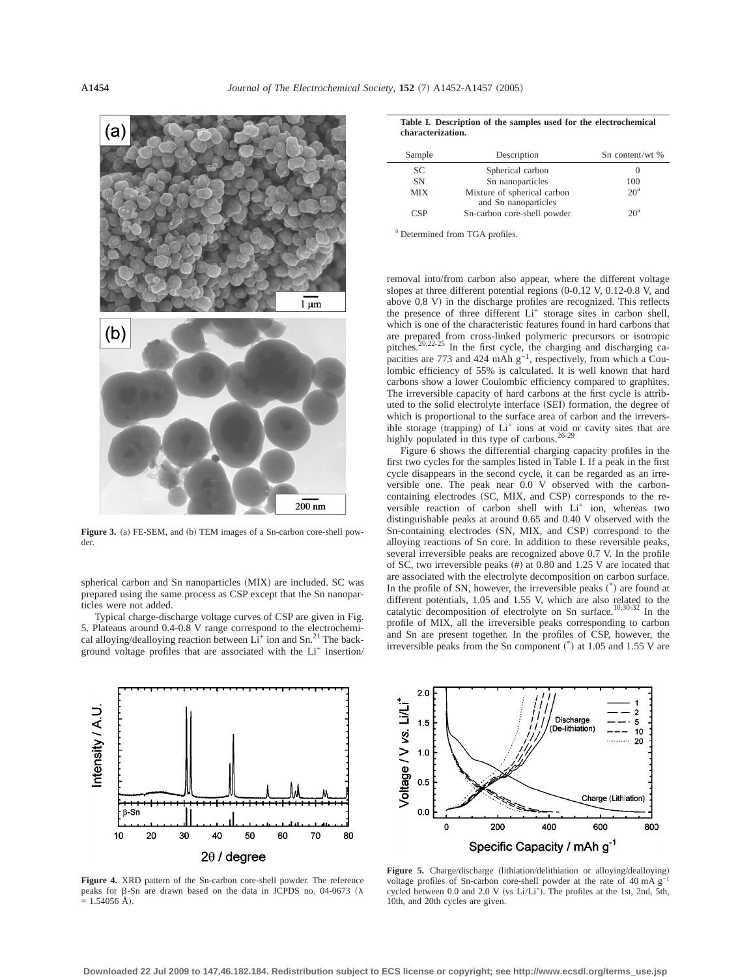

Figure 3. (a) FE-SEM, and (b) TEM images of a Sn-carbon core-shell powder.

spherical carbon and Sn nanoparticles (MIX) are included. SC was prepared using the same process as CSP except that the Sn nanoparticles were not added.

Typical charge-discharge voltage curves of CSP are given in Fig. 5. Plateaus around 0.4-0.8 V range correspond to the electrochemical alloying/dealloying reaction between  $Li^+$  ion and Sn.<sup>21</sup> The background voltage profiles that are associated with the Li+ insertion/



**Figure 4.** XRD pattern of the Sn-carbon core-shell powder. The reference peaks for  $\beta$ -Sn are drawn based on the data in JCPDS no. 04-0673 ( $\lambda$  $= 1.54056$  Å).

| Table I. Description of the samples used for the electrochemical |  |  |  |
|------------------------------------------------------------------|--|--|--|
| characterization.                                                |  |  |  |

| Sample     | Description                 | Sn content/wt % |
|------------|-----------------------------|-----------------|
| <b>SC</b>  | Spherical carbon            | O               |
| <b>SN</b>  | Sn nanoparticles            | 100             |
| <b>MIX</b> | Mixture of spherical carbon | 20 <sup>a</sup> |
|            | and Sn nanoparticles        |                 |
| CSP        | Sn-carbon core-shell powder | $20^a$          |

<sup>a</sup> Determined from TGA profiles.

removal into/from carbon also appear, where the different voltage slopes at three different potential regions  $(0-0.12 \text{ V}, 0.12-0.8 \text{ V}, \text{ and})$ above 0.8 V) in the discharge profiles are recognized. This reflects the presence of three different Li<sup>+</sup> storage sites in carbon shell, which is one of the characteristic features found in hard carbons that are prepared from cross-linked polymeric precursors or isotropic pitches.<sup>20,22-25</sup> In the first cycle, the charging and discharging capacities are 773 and 424 mAh g<sup>-1</sup>, respectively, from which a Coulombic efficiency of 55% is calculated. It is well known that hard carbons show a lower Coulombic efficiency compared to graphites. The irreversible capacity of hard carbons at the first cycle is attributed to the solid electrolyte interface (SEI) formation, the degree of which is proportional to the surface area of carbon and the irreversible storage (trapping) of Li<sup>+</sup> ions at void or cavity sites that are highly populated in this type of carbons.<sup>26-29</sup>

Figure 6 shows the differential charging capacity profiles in the first two cycles for the samples listed in Table I. If a peak in the first cycle disappears in the second cycle, it can be regarded as an irreversible one. The peak near 0.0 V observed with the carboncontaining electrodes (SC, MIX, and CSP) corresponds to the reversible reaction of carbon shell with Li<sup>+</sup> ion, whereas two distinguishable peaks at around 0.65 and 0.40 V observed with the Sn-containing electrodes (SN, MIX, and CSP) correspond to the alloying reactions of Sn core. In addition to these reversible peaks, several irreversible peaks are recognized above 0.7 V. In the profile of SC, two irreversible peaks  $#$  at 0.80 and 1.25 V are located that are associated with the electrolyte decomposition on carbon surface. In the profile of SN, however, the irreversible peaks  $(*)$  are found at different potentials, 1.05 and 1.55 V, which are also related to the catalytic decomposition of electrolyte on Sn surface.10,30-32 In the profile of MIX, all the irreversible peaks corresponding to carbon and Sn are present together. In the profiles of CSP, however, the irreversible peaks from the Sn component  $^*$  at 1.05 and 1.55 V are



Figure 5. Charge/discharge (lithiation/delithiation or alloying/dealloying) voltage profiles of Sn-carbon core-shell powder at the rate of 40 mA g−1 cycled between 0.0 and 2.0 V (vs Li/Li<sup>+</sup>). The profiles at the 1st, 2nd, 5th, 10th, and 20th cycles are given.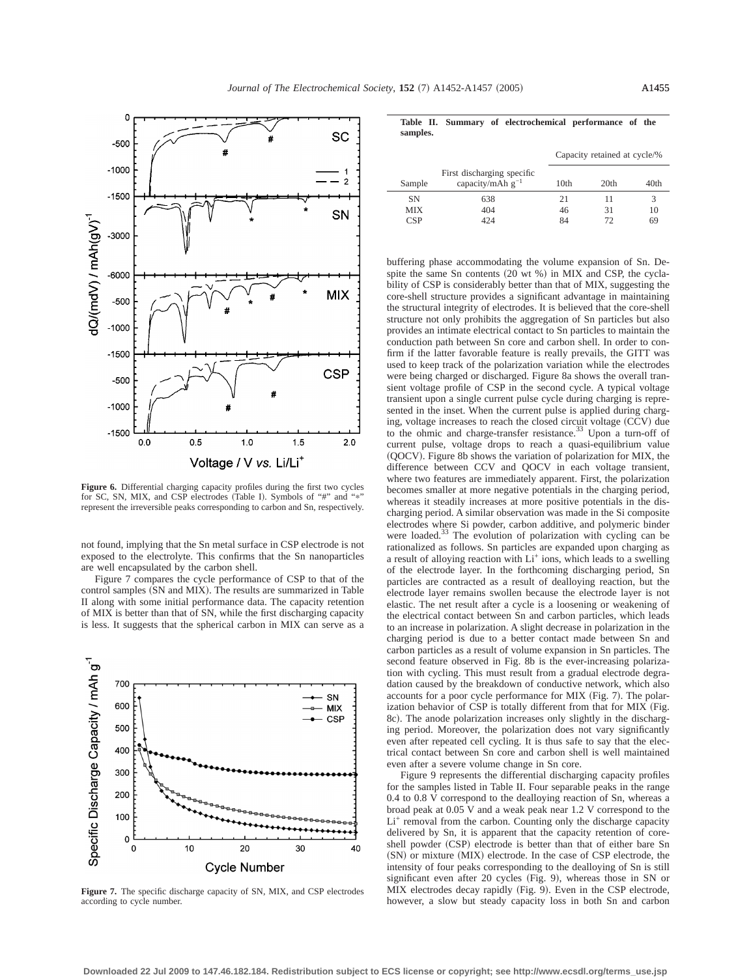

**Figure 6.** Differential charging capacity profiles during the first two cycles for SC, SN, MIX, and CSP electrodes (Table I). Symbols of "#" and "\* represent the irreversible peaks corresponding to carbon and Sn, respectively.

not found, implying that the Sn metal surface in CSP electrode is not exposed to the electrolyte. This confirms that the Sn nanoparticles are well encapsulated by the carbon shell.

Figure 7 compares the cycle performance of CSP to that of the control samples (SN and MIX). The results are summarized in Table II along with some initial performance data. The capacity retention of MIX is better than that of SN, while the first discharging capacity is less. It suggests that the spherical carbon in MIX can serve as a



**Figure 7.** The specific discharge capacity of SN, MIX, and CSP electrodes according to cycle number.

|          |  | Table II. Summary of electrochemical performance of the |  |  |
|----------|--|---------------------------------------------------------|--|--|
| samples. |  |                                                         |  |  |

|            |                                                     | Capacity retained at cycle/% |                  |      |  |
|------------|-----------------------------------------------------|------------------------------|------------------|------|--|
| Sample     | First discharging specific<br>capacity/mAh $g^{-1}$ | 10th                         | 20 <sub>th</sub> | 40th |  |
| <b>SN</b>  | 638                                                 | 21                           | 11               |      |  |
| <b>MIX</b> | 404                                                 | 46                           | 31               | 10   |  |
| <b>CSP</b> | 424                                                 | 84                           | 72               | 69   |  |

buffering phase accommodating the volume expansion of Sn. Despite the same Sn contents  $(20 \text{ wt } %)$  in MIX and CSP, the cyclability of CSP is considerably better than that of MIX, suggesting the core-shell structure provides a significant advantage in maintaining the structural integrity of electrodes. It is believed that the core-shell structure not only prohibits the aggregation of Sn particles but also provides an intimate electrical contact to Sn particles to maintain the conduction path between Sn core and carbon shell. In order to confirm if the latter favorable feature is really prevails, the GITT was used to keep track of the polarization variation while the electrodes were being charged or discharged. Figure 8a shows the overall transient voltage profile of CSP in the second cycle. A typical voltage transient upon a single current pulse cycle during charging is represented in the inset. When the current pulse is applied during charging, voltage increases to reach the closed circuit voltage  $(CCV)$  due to the ohmic and charge-transfer resistance.<sup>33</sup> Upon a turn-off of current pulse, voltage drops to reach a quasi-equilibrium value  $(QOCV)$ . Figure 8b shows the variation of polarization for MIX, the difference between CCV and QOCV in each voltage transient, where two features are immediately apparent. First, the polarization becomes smaller at more negative potentials in the charging period, whereas it steadily increases at more positive potentials in the discharging period. A similar observation was made in the Si composite electrodes where Si powder, carbon additive, and polymeric binder were loaded.<sup>33</sup> The evolution of polarization with cycling can be rationalized as follows. Sn particles are expanded upon charging as a result of alloying reaction with  $Li^+$  ions, which leads to a swelling of the electrode layer. In the forthcoming discharging period, Sn particles are contracted as a result of dealloying reaction, but the electrode layer remains swollen because the electrode layer is not elastic. The net result after a cycle is a loosening or weakening of the electrical contact between Sn and carbon particles, which leads to an increase in polarization. A slight decrease in polarization in the charging period is due to a better contact made between Sn and carbon particles as a result of volume expansion in Sn particles. The second feature observed in Fig. 8b is the ever-increasing polarization with cycling. This must result from a gradual electrode degradation caused by the breakdown of conductive network, which also accounts for a poor cycle performance for MIX (Fig. 7). The polarization behavior of  $CSP$  is totally different from that for  $MIX$  (Fig. 8c). The anode polarization increases only slightly in the discharging period. Moreover, the polarization does not vary significantly even after repeated cell cycling. It is thus safe to say that the electrical contact between Sn core and carbon shell is well maintained even after a severe volume change in Sn core.

Figure 9 represents the differential discharging capacity profiles for the samples listed in Table II. Four separable peaks in the range 0.4 to 0.8 V correspond to the dealloying reaction of Sn, whereas a broad peak at 0.05 V and a weak peak near 1.2 V correspond to the Li<sup>+</sup> removal from the carbon. Counting only the discharge capacity delivered by Sn, it is apparent that the capacity retention of coreshell powder (CSP) electrode is better than that of either bare Sn (SN) or mixture (MIX) electrode. In the case of CSP electrode, the intensity of four peaks corresponding to the dealloying of Sn is still significant even after  $20$  cycles (Fig. 9), whereas those in SN or MIX electrodes decay rapidly (Fig. 9). Even in the CSP electrode, however, a slow but steady capacity loss in both Sn and carbon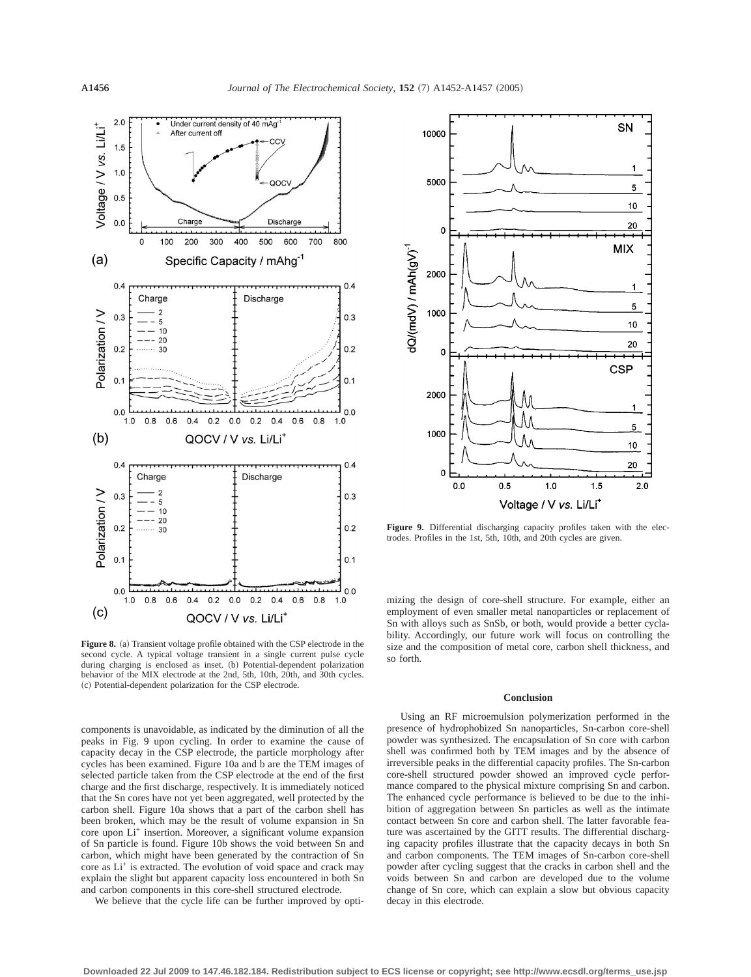

Figure 8. (a) Transient voltage profile obtained with the CSP electrode in the second cycle. A typical voltage transient in a single current pulse cycle during charging is enclosed as inset. (b) Potential-dependent polarization behavior of the MIX electrode at the 2nd, 5th, 10th, 20th, and 30th cycles. ~c! Potential-dependent polarization for the CSP electrode.

components is unavoidable, as indicated by the diminution of all the peaks in Fig. 9 upon cycling. In order to examine the cause of capacity decay in the CSP electrode, the particle morphology after cycles has been examined. Figure 10a and b are the TEM images of selected particle taken from the CSP electrode at the end of the first charge and the first discharge, respectively. It is immediately noticed that the Sn cores have not yet been aggregated, well protected by the carbon shell. Figure 10a shows that a part of the carbon shell has been broken, which may be the result of volume expansion in Sn core upon Li+ insertion. Moreover, a significant volume expansion of Sn particle is found. Figure 10b shows the void between Sn and carbon, which might have been generated by the contraction of Sn core as Li<sup>+</sup> is extracted. The evolution of void space and crack may explain the slight but apparent capacity loss encountered in both Sn and carbon components in this core-shell structured electrode.

We believe that the cycle life can be further improved by opti-



Figure 9. Differential discharging capacity profiles taken with the electrodes. Profiles in the 1st, 5th, 10th, and 20th cycles are given.

mizing the design of core-shell structure. For example, either an employment of even smaller metal nanoparticles or replacement of Sn with alloys such as SnSb, or both, would provide a better cyclability. Accordingly, our future work will focus on controlling the size and the composition of metal core, carbon shell thickness, and so forth.

### **Conclusion**

Using an RF microemulsion polymerization performed in the presence of hydrophobized Sn nanoparticles, Sn-carbon core-shell powder was synthesized. The encapsulation of Sn core with carbon shell was confirmed both by TEM images and by the absence of irreversible peaks in the differential capacity profiles. The Sn-carbon core-shell structured powder showed an improved cycle performance compared to the physical mixture comprising Sn and carbon. The enhanced cycle performance is believed to be due to the inhibition of aggregation between Sn particles as well as the intimate contact between Sn core and carbon shell. The latter favorable feature was ascertained by the GITT results. The differential discharging capacity profiles illustrate that the capacity decays in both Sn and carbon components. The TEM images of Sn-carbon core-shell powder after cycling suggest that the cracks in carbon shell and the voids between Sn and carbon are developed due to the volume change of Sn core, which can explain a slow but obvious capacity decay in this electrode.